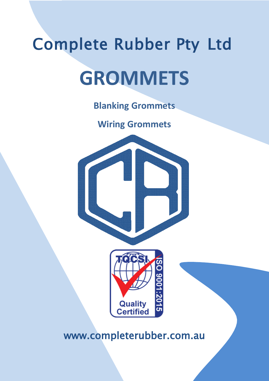# Complete Rubber Pty Ltd **GROMMETS**

**Blanking Grommets**

**Wiring Grommets**





www.completerubber.com.au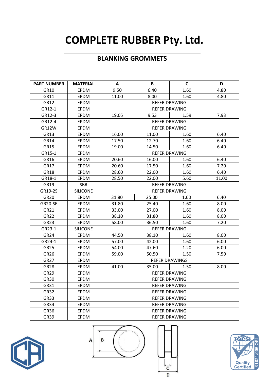### **COMPLETE RUBBER Pty. Ltd.**

#### **BLANKING GROMMETS**

| <b>PART NUMBER</b> | <b>MATERIAL</b> | A                             | B                    | C                    | D     |  |
|--------------------|-----------------|-------------------------------|----------------------|----------------------|-------|--|
| GR10               | <b>EPDM</b>     | 9.50                          | 6.40                 | 1.60                 | 4.80  |  |
| GR11               | <b>EPDM</b>     | 8.00<br>1.60<br>4.80<br>11.00 |                      |                      |       |  |
| GR12               | <b>EPDM</b>     | <b>REFER DRAWING</b>          |                      |                      |       |  |
| GR12-1             | <b>EPDM</b>     | <b>REFER DRAWING</b>          |                      |                      |       |  |
| GR12-3             | <b>EPDM</b>     | 19.05<br>9.53<br>1.59<br>7.93 |                      |                      |       |  |
| GR12-4             | <b>EPDM</b>     |                               |                      | <b>REFER DRAWING</b> |       |  |
| GR12W              | <b>EPDM</b>     |                               |                      | <b>REFER DRAWING</b> |       |  |
| GR13               | <b>EPDM</b>     | 16.00                         | 11.00                | 1.60                 | 6.40  |  |
| GR14               | <b>EPDM</b>     | 17.50                         | 12.70                | 1.60                 | 6.40  |  |
| <b>GR15</b>        | <b>EPDM</b>     | 19.00                         | 14.50                | 1.60                 | 6.40  |  |
| GR15-1             | <b>EPDM</b>     |                               | <b>REFER DRAWING</b> |                      |       |  |
| GR16               | <b>EPDM</b>     | 20.60                         | 16.00                | 1.60                 | 6.40  |  |
| GR17               | <b>EPDM</b>     | 20.60                         | 17.50                | 1.60                 | 7.20  |  |
| <b>GR18</b>        | <b>EPDM</b>     | 28.60                         | 22.00                | 1.60                 | 6.40  |  |
| GR18-1             | <b>EPDM</b>     | 28.50                         | 22.00                | 5.60                 | 11.00 |  |
| GR19               | <b>SBR</b>      | <b>REFER DRAWING</b>          |                      |                      |       |  |
| GR19-2S            | <b>SILICONE</b> | <b>REFER DRAWING</b>          |                      |                      |       |  |
| <b>GR20</b>        | <b>EPDM</b>     | 31.80                         | 25.00                | 1.60                 | 6.40  |  |
| GR20-SE            | EPDM            | 31.80                         | 25.40                | 1.60                 | 8.00  |  |
| GR21               | <b>EPDM</b>     | 33.00                         | 27.00                | 1.60                 | 8.00  |  |
| <b>GR22</b>        | <b>EPDM</b>     | 38.10                         | 31.80                | 1.60                 | 8.00  |  |
| <b>GR23</b>        | <b>EPDM</b>     | 58.00                         | 36.50                | 1.60                 | 7.20  |  |
| GR23-1             | <b>SILICONE</b> | <b>REFER DRAWING</b>          |                      |                      |       |  |
| <b>GR24</b>        | <b>EPDM</b>     | 44.50                         | 38.10                | 1.60                 | 8.00  |  |
| GR24-1             | <b>EPDM</b>     | 57.00                         | 42.00                | 1.60                 | 6.00  |  |
| <b>GR25</b>        | <b>EPDM</b>     | 54.00                         | 47.60                | 1.20                 | 6.00  |  |
| GR26               | EPDM            | 59.00                         | 50.50                | 1.50                 | 7.50  |  |
| <b>GR27</b>        | <b>EPDM</b>     | <b>REFER DRAWINGS</b>         |                      |                      |       |  |
| <b>GR28</b>        | <b>EPDM</b>     | 41.00                         | 35.00                | 1.50                 | 8.00  |  |
| <b>GR29</b>        | <b>EPDM</b>     | <b>REFER DRAWING</b>          |                      |                      |       |  |
| GR <sub>30</sub>   | <b>EPDM</b>     | <b>REFER DRAWING</b>          |                      |                      |       |  |
| GR31               | <b>EPDM</b>     | <b>REFER DRAWING</b>          |                      |                      |       |  |
| <b>GR32</b>        | <b>EPDM</b>     | <b>REFER DRAWING</b>          |                      |                      |       |  |
| <b>GR33</b>        | EPDM            | <b>REFER DRAWING</b>          |                      |                      |       |  |
| GR34               | <b>EPDM</b>     |                               |                      | <b>REFER DRAWING</b> |       |  |
| GR36               | <b>EPDM</b>     | <b>REFER DRAWING</b>          |                      |                      |       |  |
| <b>GR39</b>        | <b>EPDM</b>     | <b>REFER DRAWING</b>          |                      |                      |       |  |







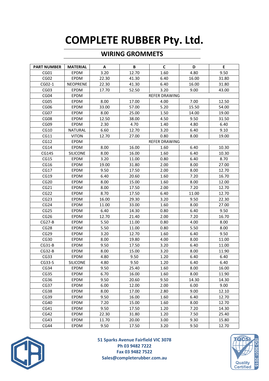## **COMPLETE RUBBER Pty. Ltd.**

#### **WIRING GROMMETS**

| <b>PART NUMBER</b> | <b>MATERIAL</b> | A     | B     | C                    | D     | E     |
|--------------------|-----------------|-------|-------|----------------------|-------|-------|
| CG01               | <b>EPDM</b>     | 3.20  | 12.70 | 1.60                 | 4.80  | 9.50  |
| CG02               | EPDM            | 22.30 | 41.30 | 6.40                 | 16.00 | 31.80 |
| CG02-1             | <b>NEOPRENE</b> | 22.30 | 41.30 | 6.40                 | 16.00 | 31.80 |
| CG03               | <b>EPDM</b>     | 17.70 | 52.50 | 3.20                 | 9.00  | 43.00 |
| CG04               | <b>EPDM</b>     |       |       | <b>REFER DRAWING</b> |       |       |
| CG05               | EPDM            | 8.00  | 17.00 | 4.00                 | 7.00  | 12.50 |
| CG06               | EPDM            | 33.00 | 57.00 | 5.20                 | 15.50 | 54.00 |
| CG07               | <b>EPDM</b>     | 8.00  | 25.00 | 1.50                 | 14.00 | 19.00 |
| CG08               | <b>EPDM</b>     | 12.50 | 38.00 | 4.50                 | 9.50  | 31.50 |
| CG09               | EPDM            | 2.30  | 4.70  | 1.40                 | 4.80  | 6.40  |
| CG10               | NATURAL         | 6.60  | 12.70 | 3.20                 | 6.40  | 9.10  |
| CG11               | <b>VITON</b>    | 12.70 | 27.00 | 0.80                 | 8.00  | 19.00 |
| CG12               | EPDM            |       |       | <b>REFER DRAWING</b> |       |       |
| CG14               | EPDM            | 8.00  | 16.00 | 1.60                 | 6.40  | 10.30 |
| CG14S              | <b>SILICONE</b> | 8.00  | 16.00 | 1.60                 | 6.40  | 10.30 |
| CG15               | EPDM            | 3.20  | 11.00 | 0.80                 | 6.40  | 8.70  |
| CG16               | <b>EPDM</b>     | 19.00 | 31.80 | 2.00                 | 8.00  | 27.00 |
| CG17               | EPDM            | 9.50  | 17.50 | 2.00                 | 8.00  | 12.70 |
| CG19               | EPDM            | 6.40  | 20.60 | 1.60                 | 7.20  | 16.70 |
| CG20               | EPDM            | 8.00  | 15.00 | 1.60                 | 8.00  | 12.00 |
| CG21               | <b>EPDM</b>     | 8.00  | 17.50 | 2.00                 | 7.20  | 12.70 |
| CG22               | EPDM            | 8.70  | 17.50 | 6.40                 | 11.00 | 12.70 |
| CG23               | EPDM            | 16.00 | 29.30 | 3.20                 | 9.50  | 22.30 |
| CG24               | <b>EPDM</b>     | 11.00 | 33.00 | 1.60                 | 8.00  | 27.00 |
| CG25               | <b>EPDM</b>     | 6.40  | 14.30 | 0.80                 | 6.40  | 9.50  |
| CG <sub>26</sub>   | <b>EPDM</b>     | 12.70 | 21.40 | 2.00                 | 7.20  | 16.70 |
| $CG27-B$           | EPDM            | 5.50  | 11.00 | 0.80                 | 4.00  | 8.00  |
| CG28               | EPDM            | 5.50  | 11.00 | 0.80                 | 5.50  | 8.00  |
| CG <sub>29</sub>   | <b>EPDM</b>     | 3.20  | 12.70 | 1.60                 | 6.40  | 9.50  |
| CG30               | EPDM            | 8.00  | 19.80 | 4.00                 | 8.00  | 11.00 |
| $CG31-B$           | EPDM            | 9.50  | 17.50 | 3.20                 | 6.40  | 11.00 |
| $CG32-B$           | EPDM            | 8.00  | 15.00 | 3.20                 | 8.00  | 11.90 |
| CG33               | EPDM            | 4.80  | 9.50  | 1.20                 | 6.40  | 6.40  |
| $CG33-S$           | <b>SILICONE</b> | 4.80  | 9.50  | 1.20                 | 6.40  | 6.40  |
| CG34               | EPDM            | 9.50  | 25.40 | 1.60                 | 8.00  | 16.00 |
| CG35               | EPDM            | 6.70  | 16.00 | 1.60                 | 8.00  | 11.90 |
| CG36               | EPDM            | 9.50  | 20.60 | 9.50                 | 14.30 | 14.30 |
| CG37               | EPDM            | 6.00  | 12.00 | 2.00                 | 6.00  | 9.00  |
| CG38               | EPDM            | 8.00  | 17.00 | 2.80                 | 9.00  | 12.10 |
| CG39               | EPDM            | 9.50  | 16.00 | 1.60                 | 6.40  | 12.70 |
| CG40               | EPDM            | 7.20  | 15.00 | 1.60                 | 8.00  | 12.70 |
| CG41               | EPDM            | 9.50  | 17.50 | 1.20                 | 7.20  | 14.30 |
| CG42               | EPDM            | 22.30 | 31.80 | 1.20                 | 7.50  | 25.40 |
| CG43               | EPDM            | 11.70 | 20.00 | 3.00                 | 9.30  | 15.80 |
| CG44               | EPDM            | 9.50  | 17.50 | 3.20                 | 9.50  | 12.70 |



**51 Sparks Avenue Fairfield VIC 3078 Ph 03 9482 7222 Fax 03 9482 7522 Sales@completerubber.com.au**

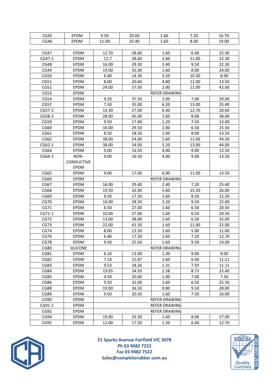| CG45        | EPDM              | 9.50                 | 20.60 | 1.60                 | 7.20  | 16.70 |
|-------------|-------------------|----------------------|-------|----------------------|-------|-------|
| CG46        | EPDM              | 11.00                | 25.40 | 1.60                 | 8.00  | 19.00 |
|             |                   |                      |       |                      |       |       |
| CG47        | EPDM              | 12.70                | 28.60 | 1.60                 | 6.40  | 22.30 |
| CG47-1      | <b>EPDM</b>       | 12.7                 | 28.60 | 1.60                 | 11.00 | 22.30 |
| CG48        | <b>EPDM</b>       | 16.00                | 29.30 | 2.40                 | 9.50  | 22.30 |
| CG49        | EPDM              | 19.00                | 35.00 | 1.60                 | 8.00  | 24.00 |
| CG50        | EPDM              | 6.40                 | 14.30 | 3.20                 | 10.30 | 8.00  |
| CG51        | <b>EPDM</b>       | 8.00                 | 20.60 | 4.80                 | 11.00 | 13.50 |
| CG52        | EPDM              | 24.00                | 57.00 | 2.00                 | 11.00 | 42.00 |
| CG53        | <b>EPDM</b>       |                      |       | <b>REFER DRAWING</b> |       |       |
| CG54        | <b>EPDM</b>       | 9.20                 | 37.50 | 1.00                 | 7.00  | 29.00 |
| CG57        | <b>EPDM</b>       | 7.50                 | 35.00 | 6.20                 | 13.00 | 25.40 |
| CG57-2      | EPDM              | 14.30                | 27.00 | 6.40                 | 12.70 | 20.60 |
| CG58-2      | EPDM              | 28.00                | 45.00 | 1.60                 | 8.00  | 38.00 |
| CG59        | EPDM              | 9.50                 | 17.00 | 1.20                 | 7.50  | 13.00 |
| CG60        | EPDM              | 16.00                | 29.50 | 2.00                 | 6.50  | 25.50 |
| CG61        | EPDM              | 8.50                 | 18.50 | 1.60                 | 8.00  | 13.50 |
| CG62        | EPDM              | 38.00                | 54.00 | 1.60                 | 11.00 | 44.50 |
| CG62-1      | <b>EPDM</b>       | 38.00                | 54.00 | 3.20                 | 13.00 | 44.00 |
| CG64        | <b>EPDM</b>       | 9.00                 | 16.50 | 4.00                 | 9.00  | 13.50 |
| CG64-1      | NON-              | 9.00                 | 16.50 | 4.00                 | 9.00  | 13.50 |
|             | <b>CONDUCTIVE</b> |                      |       |                      |       |       |
|             | <b>EPDM</b>       |                      |       |                      |       |       |
| CG65        | EPDM              | 9.00                 | 17.00 | 6.00                 | 11.00 | 13.50 |
| CG66        | <b>EPDM</b>       |                      |       | <b>REFER DRAWING</b> |       |       |
| CG67        | EPDM              | 16.00                | 29.40 | 2.40                 | 7.20  | 25.40 |
| CG68        | <b>EPDM</b>       | 19.50                | 32.00 | 5.60                 | 15.50 | 26.00 |
| CG69        | EPDM              | 9.50                 | 17.50 | 1.60                 | 8.50  | 12.50 |
| <b>CG70</b> | <b>EPDM</b>       | 16.00                | 28.50 | 3.20                 | 9.50  | 22.00 |
| CG71        | <b>EPDM</b>       | 6.50                 | 27.00 | 1.60                 | 6.50  | 20.50 |
| CG71-1      | <b>EPDM</b>       | 10.00                | 27.00 | 1.60                 | 6.50  | 20.50 |
| CG72        | EPDM              | 13.00                | 38.00 | 1.60                 | 6.50  | 32.00 |
| CG73        | EPDM              | 22.00                | 41.50 | 1.60                 | 11.00 | 32.00 |
| <b>CG74</b> | <b>EPDM</b>       | 8.00                 | 13.50 | 1.60                 | 5.00  | 11.00 |
| CG76        | EPDM              | 6.40                 | 17.50 | 1.60                 | 7.20  | 12.70 |
| CG78        | EPDM              | 9.50                 | 25.50 | 1.60                 | 9.50  | 19.00 |
| <b>CG80</b> | <b>SILICONE</b>   |                      |       | <b>REFER DRAWING</b> |       |       |
| CG81        | <b>EPDM</b>       | 6.10                 | 13.00 | 1.30                 | 9.00  | 9.00  |
| CG82        | <b>EPDM</b>       | 7.14                 | 15.87 | 1.60                 | 6.40  | 11.11 |
| CG83        | EPDM              | 9.53                 | 18.26 | 1.31                 | 7.93  | 11.11 |
| CG84        | <b>EPDM</b>       | 19.05                | 34.93 | 2.38                 | 8.73  | 25.40 |
| CG85        | <b>EPDM</b>       | 4.50                 | 20.00 | 1.00                 | 7.00  | 7.50  |
| CG86        | EPDM              | 9.50                 | 32.00 | 1.60                 | 6.50  | 25.50 |
| CG88        | EPDM              | 19.00                | 36.50 | 0.80                 | 9.50  | 28.00 |
| CG89        | <b>EPDM</b>       | 9.50                 | 20.50 | 1.60                 | 7.50  | 16.00 |
| CG90        | <b>EPDM</b>       |                      |       | <b>REFER DRAWING</b> |       |       |
| CG91-1      | <b>EPDM</b>       |                      |       | REFER DRAWING        |       |       |
| CG92        | EPDM              | <b>REFER DRAWING</b> |       |                      |       |       |
| CG94        | EPDM              | 19.00                | 33.30 | 1.60                 | 8.00  | 27.00 |
| CG95        | <b>EPDM</b>       | 11.00                | 17.50 | 1.20                 | 6.40  | 12.70 |



**51 Sparks Avenue Fairfield VIC 3078 Ph 03 9482 7222 Fax 03 9482 7522 Sales@completerubber.com.au**